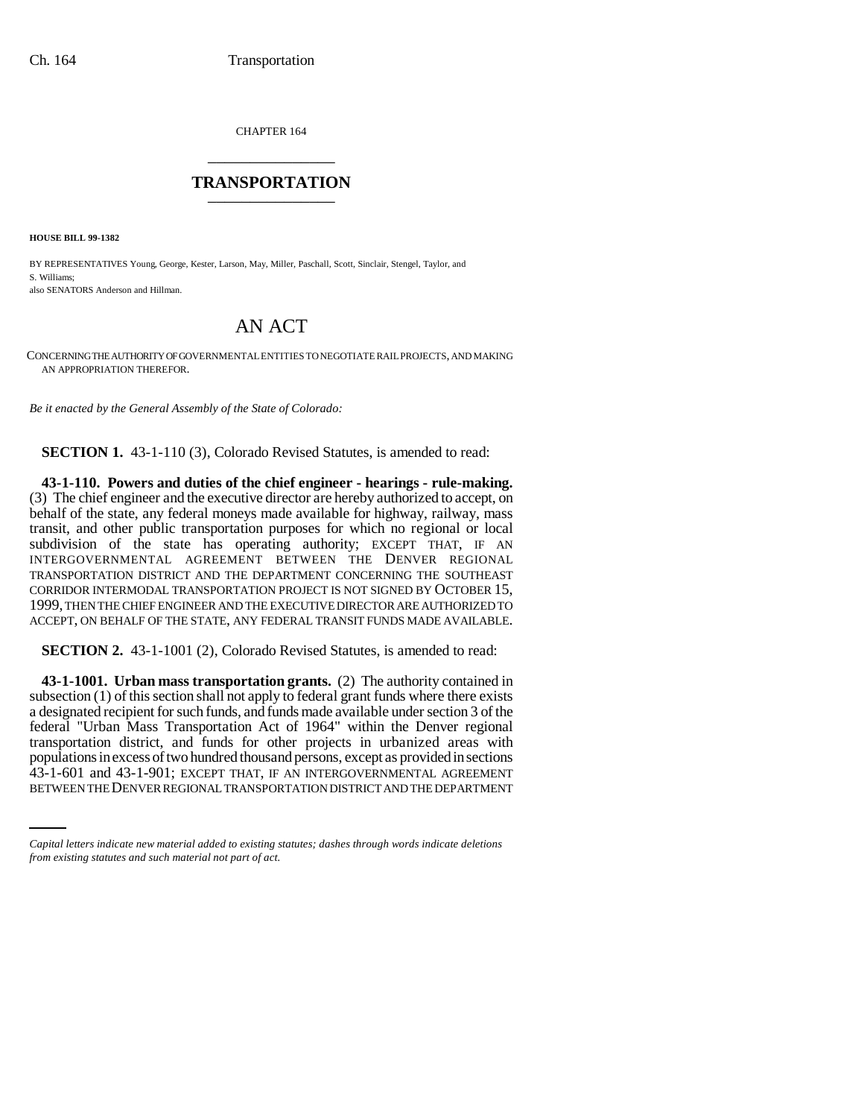CHAPTER 164 \_\_\_\_\_\_\_\_\_\_\_\_\_\_\_

## **TRANSPORTATION** \_\_\_\_\_\_\_\_\_\_\_\_\_\_\_

**HOUSE BILL 99-1382** 

BY REPRESENTATIVES Young, George, Kester, Larson, May, Miller, Paschall, Scott, Sinclair, Stengel, Taylor, and S. Williams; also SENATORS Anderson and Hillman.

## AN ACT

CONCERNING THE AUTHORITY OF GOVERNMENTAL ENTITIES TO NEGOTIATE RAIL PROJECTS, AND MAKING AN APPROPRIATION THEREFOR.

*Be it enacted by the General Assembly of the State of Colorado:*

**SECTION 1.** 43-1-110 (3), Colorado Revised Statutes, is amended to read:

**43-1-110. Powers and duties of the chief engineer - hearings - rule-making.** (3) The chief engineer and the executive director are hereby authorized to accept, on behalf of the state, any federal moneys made available for highway, railway, mass transit, and other public transportation purposes for which no regional or local subdivision of the state has operating authority; EXCEPT THAT, IF AN INTERGOVERNMENTAL AGREEMENT BETWEEN THE DENVER REGIONAL TRANSPORTATION DISTRICT AND THE DEPARTMENT CONCERNING THE SOUTHEAST CORRIDOR INTERMODAL TRANSPORTATION PROJECT IS NOT SIGNED BY OCTOBER 15, 1999, THEN THE CHIEF ENGINEER AND THE EXECUTIVE DIRECTOR ARE AUTHORIZED TO ACCEPT, ON BEHALF OF THE STATE, ANY FEDERAL TRANSIT FUNDS MADE AVAILABLE.

**SECTION 2.** 43-1-1001 (2), Colorado Revised Statutes, is amended to read:

populations in excess of two hundred thousand persons, except as provided in sections **43-1-1001. Urban mass transportation grants.** (2) The authority contained in subsection (1) of this section shall not apply to federal grant funds where there exists a designated recipient for such funds, and funds made available under section 3 of the federal "Urban Mass Transportation Act of 1964" within the Denver regional transportation district, and funds for other projects in urbanized areas with 43-1-601 and 43-1-901; EXCEPT THAT, IF AN INTERGOVERNMENTAL AGREEMENT BETWEEN THE DENVER REGIONAL TRANSPORTATION DISTRICT AND THE DEPARTMENT

*Capital letters indicate new material added to existing statutes; dashes through words indicate deletions from existing statutes and such material not part of act.*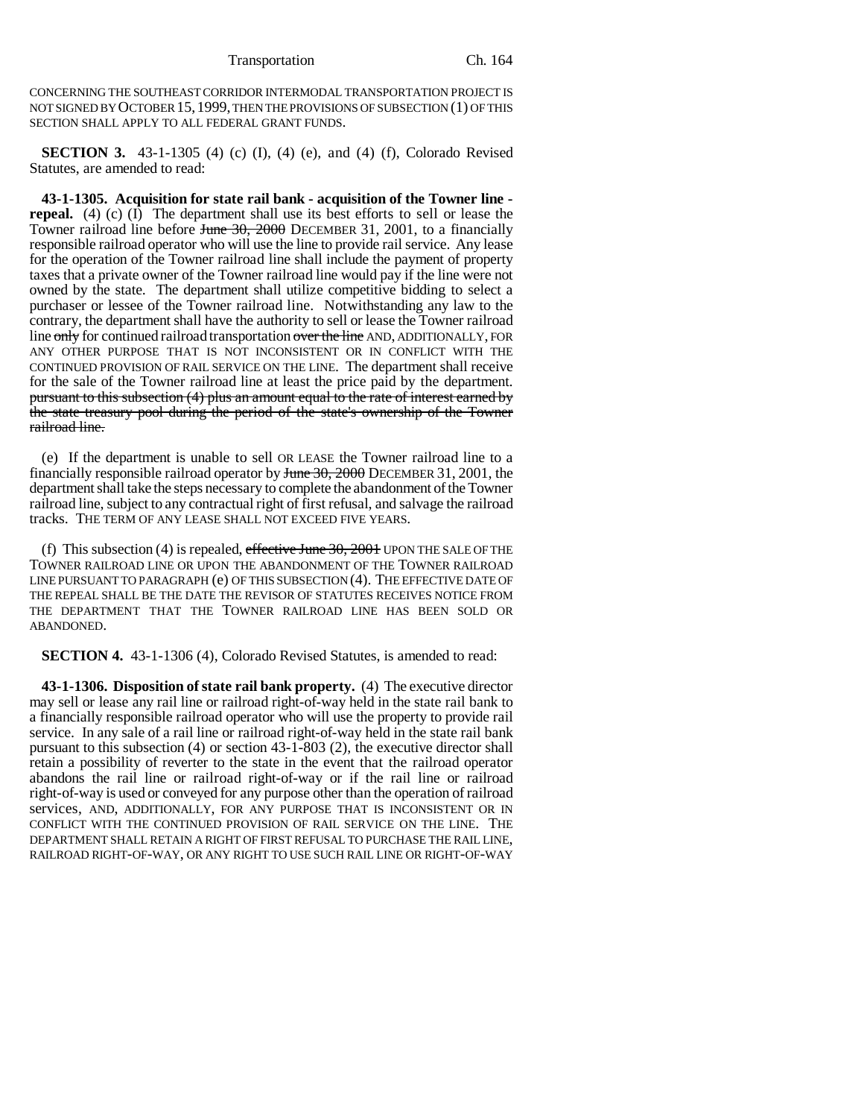CONCERNING THE SOUTHEAST CORRIDOR INTERMODAL TRANSPORTATION PROJECT IS NOT SIGNED BY OCTOBER 15,1999, THEN THE PROVISIONS OF SUBSECTION (1) OF THIS SECTION SHALL APPLY TO ALL FEDERAL GRANT FUNDS.

**SECTION 3.** 43-1-1305 (4) (c) (I), (4) (e), and (4) (f), Colorado Revised Statutes, are amended to read:

**43-1-1305. Acquisition for state rail bank - acquisition of the Towner line repeal.** (4) (c) (I) The department shall use its best efforts to sell or lease the Towner railroad line before June 30, 2000 DECEMBER 31, 2001, to a financially responsible railroad operator who will use the line to provide rail service. Any lease for the operation of the Towner railroad line shall include the payment of property taxes that a private owner of the Towner railroad line would pay if the line were not owned by the state. The department shall utilize competitive bidding to select a purchaser or lessee of the Towner railroad line. Notwithstanding any law to the contrary, the department shall have the authority to sell or lease the Towner railroad line only for continued railroad transportation over the line AND, ADDITIONALLY, FOR ANY OTHER PURPOSE THAT IS NOT INCONSISTENT OR IN CONFLICT WITH THE CONTINUED PROVISION OF RAIL SERVICE ON THE LINE. The department shall receive for the sale of the Towner railroad line at least the price paid by the department. pursuant to this subsection (4) plus an amount equal to the rate of interest earned by the state treasury pool during the period of the state's ownership of the Towner railroad line.

(e) If the department is unable to sell OR LEASE the Towner railroad line to a financially responsible railroad operator by June 30, 2000 DECEMBER 31, 2001, the department shall take the steps necessary to complete the abandonment of the Towner railroad line, subject to any contractual right of first refusal, and salvage the railroad tracks. THE TERM OF ANY LEASE SHALL NOT EXCEED FIVE YEARS.

(f) This subsection (4) is repealed, effective June  $30, 2001$  UPON THE SALE OF THE TOWNER RAILROAD LINE OR UPON THE ABANDONMENT OF THE TOWNER RAILROAD LINE PURSUANT TO PARAGRAPH (e) OF THIS SUBSECTION (4). THE EFFECTIVE DATE OF THE REPEAL SHALL BE THE DATE THE REVISOR OF STATUTES RECEIVES NOTICE FROM THE DEPARTMENT THAT THE TOWNER RAILROAD LINE HAS BEEN SOLD OR ABANDONED.

**SECTION 4.** 43-1-1306 (4), Colorado Revised Statutes, is amended to read:

**43-1-1306. Disposition of state rail bank property.** (4) The executive director may sell or lease any rail line or railroad right-of-way held in the state rail bank to a financially responsible railroad operator who will use the property to provide rail service. In any sale of a rail line or railroad right-of-way held in the state rail bank pursuant to this subsection (4) or section 43-1-803 (2), the executive director shall retain a possibility of reverter to the state in the event that the railroad operator abandons the rail line or railroad right-of-way or if the rail line or railroad right-of-way is used or conveyed for any purpose other than the operation of railroad services, AND, ADDITIONALLY, FOR ANY PURPOSE THAT IS INCONSISTENT OR IN CONFLICT WITH THE CONTINUED PROVISION OF RAIL SERVICE ON THE LINE. THE DEPARTMENT SHALL RETAIN A RIGHT OF FIRST REFUSAL TO PURCHASE THE RAIL LINE, RAILROAD RIGHT-OF-WAY, OR ANY RIGHT TO USE SUCH RAIL LINE OR RIGHT-OF-WAY